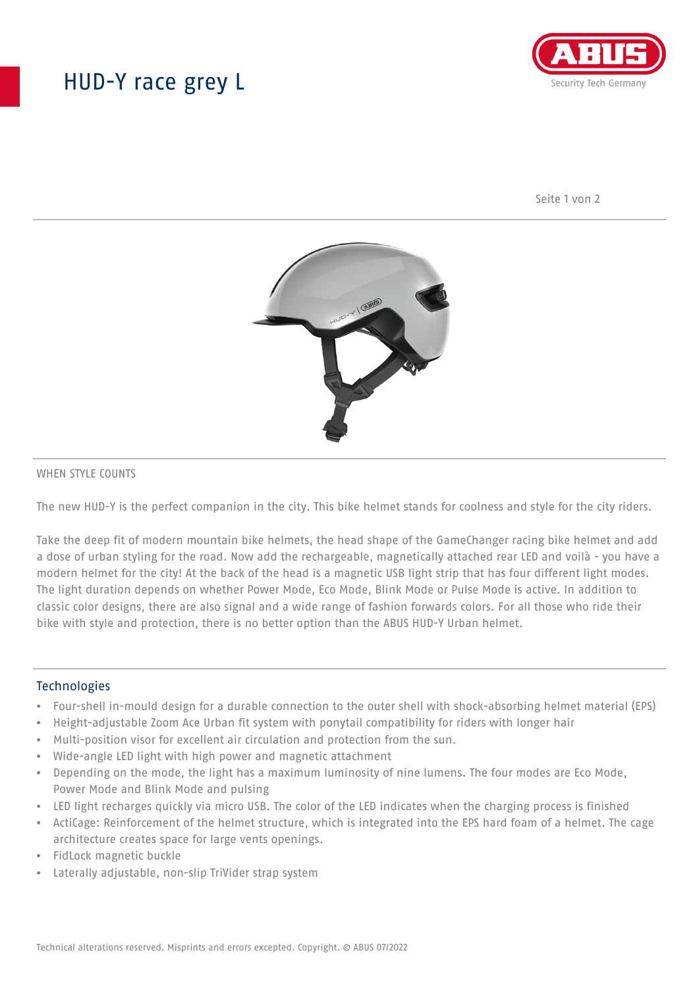## HUD-Y race grey L



Seite 1 von 2



#### WHEN STYLE COUNTS

The new HUD-Y is the perfect companion in the city. This bike helmet stands for coolness and style for the city riders.

Take the deep fit of modern mountain bike helmets, the head shape of the GameChanger racing bike helmet and add a dose of urban styling for the road. Now add the rechargeable, magnetically attached rear LED and voilà - you have a modern helmet for the city! At the back of the head is a magnetic USB light strip that has four different light modes. The light duration depends on whether Power Mode, Eco Mode, Blink Mode or Pulse Mode is active. In addition to classic color designs, there are also signal and a wide range of fashion forwards colors. For all those who ride their bike with style and protection, there is no better option than the ABUS HUD-Y Urban helmet.

#### **Technologies**

- Four-shell in-mould design for a durable connection to the outer shell with shock-absorbing helmet material (EPS)
- Height-adjustable Zoom Ace Urban fit system with ponytail compatibility for riders with longer hair
- Multi-position visor for excellent air circulation and protection from the sun.
- Wide-angle LED light with high power and magnetic attachment
- Depending on the mode, the light has a maximum luminosity of nine lumens. The four modes are Eco Mode, Power Mode and Blink Mode and pulsing
- LED light recharges quickly via micro USB. The color of the LED indicates when the charging process is finished
- ActiCage: Reinforcement of the helmet structure, which is integrated into the EPS hard foam of a helmet. The cage architecture creates space for large vents openings.
- FidLock magnetic buckle
- Laterally adjustable, non-slip TriVider strap system